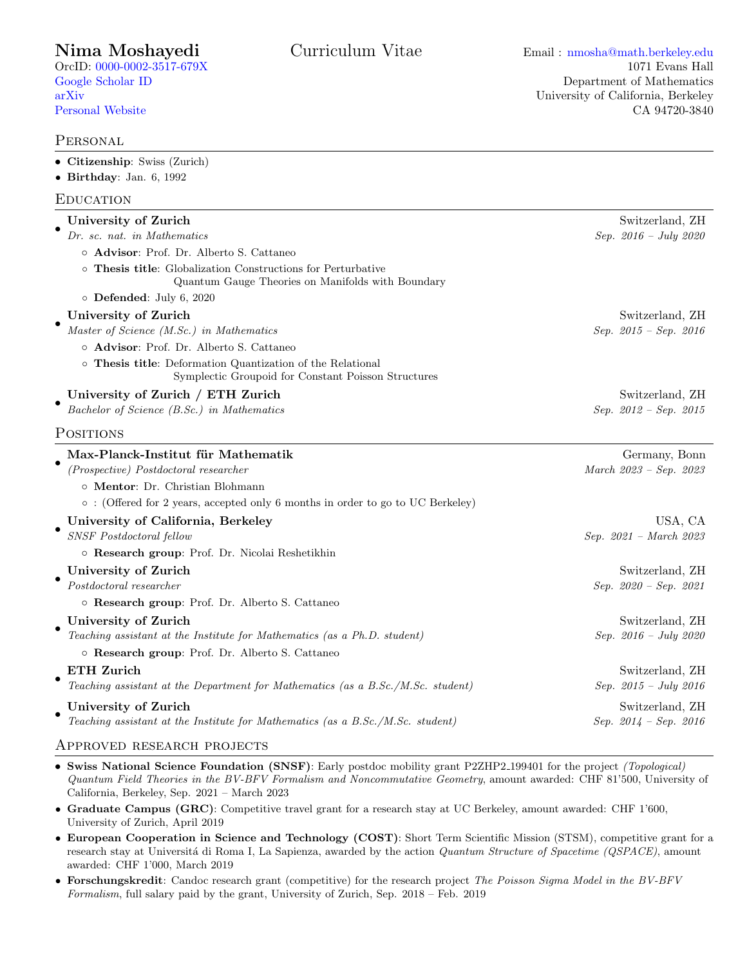### **PERSONAL**

| • Citizenship: Swiss (Zurich)<br>$\bullet$ Birthday: Jan. 6, 1992                                                 |                           |
|-------------------------------------------------------------------------------------------------------------------|---------------------------|
| EDUCATION                                                                                                         |                           |
| University of Zurich                                                                                              | Switzerland, ZH           |
| Dr. sc. nat. in Mathematics                                                                                       | Sep. $2016 - July 2020$   |
| o Advisor: Prof. Dr. Alberto S. Cattaneo                                                                          |                           |
| o Thesis title: Globalization Constructions for Perturbative<br>Quantum Gauge Theories on Manifolds with Boundary |                           |
| $\circ$ Defended: July 6, 2020                                                                                    |                           |
| University of Zurich                                                                                              | Switzerland, ZH           |
| Master of Science (M.Sc.) in Mathematics                                                                          | Sep. $2015 - Sep.$ 2016   |
| o Advisor: Prof. Dr. Alberto S. Cattaneo                                                                          |                           |
| o Thesis title: Deformation Quantization of the Relational<br>Symplectic Groupoid for Constant Poisson Structures |                           |
| University of Zurich / ETH Zurich                                                                                 | Switzerland, ZH           |
| Bachelor of Science (B.Sc.) in Mathematics                                                                        | $Sep. 2012 - Sep. 2015$   |
| <b>POSITIONS</b>                                                                                                  |                           |
| Max-Planck-Institut für Mathematik                                                                                | Germany, Bonn             |
| (Prospective) Postdoctoral researcher                                                                             | March 2023 - Sep. 2023    |
| o Mentor: Dr. Christian Blohmann                                                                                  |                           |
| $\circ$ : (Offered for 2 years, accepted only 6 months in order to go to UC Berkeley)                             |                           |
| University of California, Berkeley                                                                                | USA, CA                   |
| <b>SNSF</b> Postdoctoral fellow                                                                                   | $Sep. 2021 - March 2023$  |
| o Research group: Prof. Dr. Nicolai Reshetikhin                                                                   |                           |
| University of Zurich                                                                                              | Switzerland, ZH           |
| Postdoctoral researcher                                                                                           | $Sep. 2020 - Sep. 2021$   |
| o Research group: Prof. Dr. Alberto S. Cattaneo                                                                   |                           |
| University of Zurich                                                                                              | Switzerland, ZH           |
| Teaching assistant at the Institute for Mathematics (as a Ph.D. student)                                          | Sep. $2016 - July 2020$   |
| o Research group: Prof. Dr. Alberto S. Cattaneo                                                                   |                           |
| <b>ETH Zurich</b>                                                                                                 | Switzerland, ZH           |
| Teaching assistant at the Department for Mathematics (as a B.Sc./M.Sc. student)                                   | Sep. $2015 - July 2016$   |
| University of Zurich                                                                                              | Switzerland, ZH           |
| Teaching assistant at the Institute for Mathematics (as a B.Sc./M.Sc. student)                                    | Sep. $2014 - Sep.$ $2016$ |

### Approved research projects

- Swiss National Science Foundation (SNSF): Early postdoc mobility grant P2ZHP2 199401 for the project (Topological) Quantum Field Theories in the BV-BFV Formalism and Noncommutative Geometry, amount awarded: CHF 81'500, University of California, Berkeley, Sep. 2021 – March 2023
- Graduate Campus (GRC): Competitive travel grant for a research stay at UC Berkeley, amount awarded: CHF 1'600, University of Zurich, April 2019
- European Cooperation in Science and Technology (COST): Short Term Scientific Mission (STSM), competitive grant for a research stay at Universitá di Roma I, La Sapienza, awarded by the action Quantum Structure of Spacetime (QSPACE), amount awarded: CHF 1'000, March 2019
- Forschungskredit: Candoc research grant (competitive) for the research project The Poisson Sigma Model in the BV-BFV Formalism, full salary paid by the grant, University of Zurich, Sep. 2018 – Feb. 2019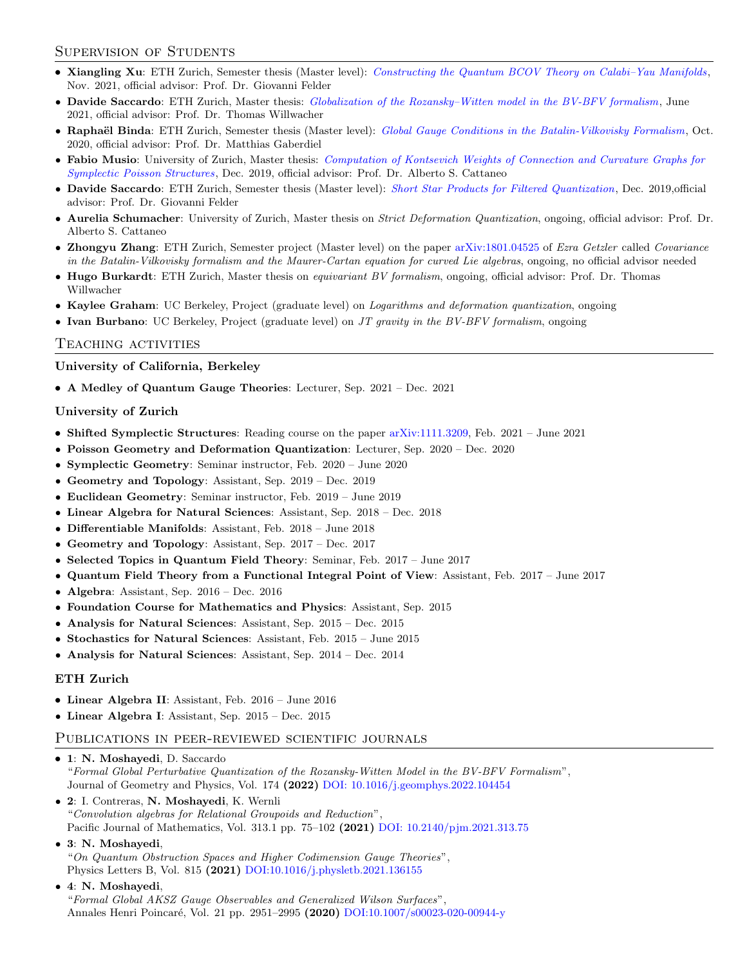# Supervision of Students

- Xiangling Xu: ETH Zurich, Semester thesis (Master level): [Constructing the Quantum BCOV Theory on Calabi–Yau Manifolds](https://drive.google.com/file/d/16s6qlq_LJjJJSU2m-0DkpzsACGbFzBpP/view?usp=sharing), Nov. 2021, official advisor: Prof. Dr. Giovanni Felder
- Davide Saccardo: ETH Zurich, Master thesis: *[Globalization of the Rozansky–Witten model in the BV-BFV formalism](https://drive.google.com/file/d/1KfERWCZnyZvEnp-TBJXO3RI027DBa1cJ/view?usp=sharing)*, June 2021, official advisor: Prof. Dr. Thomas Willwacher
- Raphaël Binda: ETH Zurich, Semester thesis (Master level): [Global Gauge Conditions in the Batalin-Vilkovisky Formalism](https://drive.google.com/file/d/179et0VYg4jRhWo0TIJmU1LG5QlTKWu8v/view), Oct. 2020, official advisor: Prof. Dr. Matthias Gaberdiel
- Fabio Musio: University of Zurich, Master thesis: [Computation of Kontsevich Weights of Connection and Curvature Graphs for](https://drive.google.com/file/d/1x398eUNv2mSNmODLmZ2SCls_J9Erhob8/view) [Symplectic Poisson Structures](https://drive.google.com/file/d/1x398eUNv2mSNmODLmZ2SCls_J9Erhob8/view), Dec. 2019, official advisor: Prof. Dr. Alberto S. Cattaneo
- Davide Saccardo: ETH Zurich, Semester thesis (Master level): [Short Star Products for Filtered Quantization](https://drive.google.com/file/d/1uEemL_eD-WGBwxdY8EipHCmXw0S8MKlD/view), Dec. 2019,official advisor: Prof. Dr. Giovanni Felder
- Aurelia Schumacher: University of Zurich, Master thesis on *Strict Deformation Quantization*, ongoing, official advisor: Prof. Dr. Alberto S. Cattaneo
- Zhongyu Zhang: ETH Zurich, Semester project (Master level) on the paper [arXiv:1801.04525](https://arxiv.org/abs/1801.04525) of Ezra Getzler called Covariance in the Batalin-Vilkovisky formalism and the Maurer-Cartan equation for curved Lie algebras, ongoing, no official advisor needed
- Hugo Burkardt: ETH Zurich, Master thesis on *equivariant BV formalism*, ongoing, official advisor: Prof. Dr. Thomas Willwacher
- Kaylee Graham: UC Berkeley, Project (graduate level) on *Logarithms and deformation quantization*, ongoing
- Ivan Burbano: UC Berkeley, Project (graduate level) on  $JT$  gravity in the  $BV-BFV$  formalism, ongoing

#### Teaching activities

University of California, Berkeley

• A Medley of Quantum Gauge Theories: Lecturer, Sep. 2021 – Dec. 2021

#### University of Zurich

- Shifted Symplectic Structures: Reading course on the paper [arXiv:1111.3209,](https://arxiv.org/abs/1111.3209) Feb. 2021 June 2021
- Poisson Geometry and Deformation Quantization: Lecturer, Sep. 2020 Dec. 2020
- Symplectic Geometry: Seminar instructor, Feb. 2020 June 2020
- Geometry and Topology: Assistant, Sep. 2019 Dec. 2019
- Euclidean Geometry: Seminar instructor, Feb. 2019 June 2019
- Linear Algebra for Natural Sciences: Assistant, Sep. 2018 Dec. 2018
- Differentiable Manifolds: Assistant, Feb. 2018 June 2018
- Geometry and Topology: Assistant, Sep. 2017 Dec. 2017
- Selected Topics in Quantum Field Theory: Seminar, Feb. 2017 June 2017
- Quantum Field Theory from a Functional Integral Point of View: Assistant, Feb. 2017 June 2017
- Algebra: Assistant, Sep. 2016 Dec. 2016
- Foundation Course for Mathematics and Physics: Assistant, Sep. 2015
- Analysis for Natural Sciences: Assistant, Sep. 2015 Dec. 2015
- Stochastics for Natural Sciences: Assistant, Feb. 2015 June 2015
- Analysis for Natural Sciences: Assistant, Sep. 2014 Dec. 2014

#### ETH Zurich

- Linear Algebra II: Assistant, Feb. 2016 June 2016
- Linear Algebra I: Assistant, Sep. 2015 Dec. 2015

### PUBLICATIONS IN PEER-REVIEWED SCIENTIFIC JOURNALS

- 1: N. Moshayedi, D. Saccardo "Formal Global Perturbative Quantization of the Rozansky-Witten Model in the BV-BFV Formalism", Journal of Geometry and Physics, Vol. 174 (2022) [DOI: 10.1016/j.geomphys.2022.104454](https://www.sciencedirect.com/science/article/pii/S0393044022000043)
- 2: I. Contreras, N. Moshayedi, K. Wernli "Convolution algebras for Relational Groupoids and Reduction", Pacific Journal of Mathematics, Vol. 313.1 pp. 75–102 (2021) [DOI: 10.2140/pjm.2021.313.75](https://msp.org/pjm/2021/313-1/p03.xhtml)
- 3: N. Moshayedi, "On Quantum Obstruction Spaces and Higher Codimension Gauge Theories", Physics Letters B, Vol. 815 (2021) [DOI:10.1016/j.physletb.2021.136155](https://doi.org/10.1016/j.physletb.2021.136155)
- 4: N. Moshayedi, "Formal Global AKSZ Gauge Observables and Generalized Wilson Surfaces", Annales Henri Poincaré, Vol. 21 pp. 2951-2995 (2020) [DOI:10.1007/s00023-020-00944-y](https://doi.org/10.1007/s00023-020-00944-y)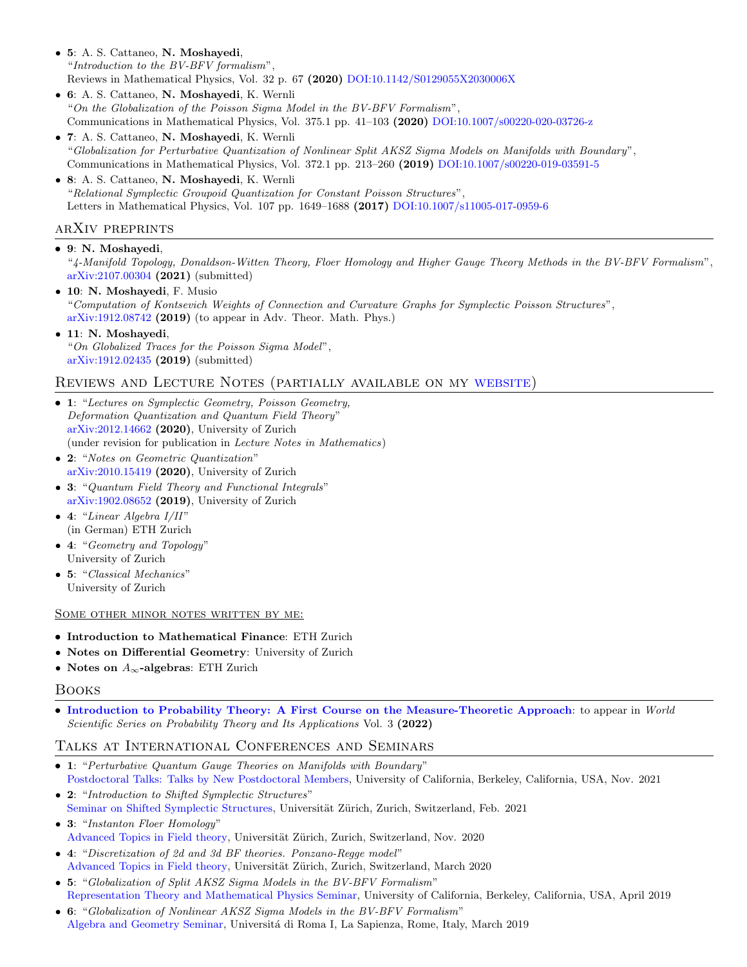- 5: A. S. Cattaneo, N. Moshayedi, "Introduction to the BV-BFV formalism", Reviews in Mathematical Physics, Vol. 32 p. 67 (2020) [DOI:10.1142/S0129055X2030006X](https://doi.org/10.1142/S0129055X2030006X)
- 6: A. S. Cattaneo, N. Moshayedi, K. Wernli "On the Globalization of the Poisson Sigma Model in the BV-BFV Formalism", Communications in Mathematical Physics, Vol. 375.1 pp. 41–103 (2020) [DOI:10.1007/s00220-020-03726-z](https://doi.org/10.1007/s00220-020-03726-z)
- 7: A. S. Cattaneo, N. Moshayedi, K. Wernli "Globalization for Perturbative Quantization of Nonlinear Split AKSZ Sigma Models on Manifolds with Boundary ", Communications in Mathematical Physics, Vol. 372.1 pp. 213–260 (2019) [DOI:10.1007/s00220-019-03591-5](https://doi.org/10.1007/s00220-019-03591-5)
- 8: A. S. Cattaneo, N. Moshayedi, K. Wernli "Relational Symplectic Groupoid Quantization for Constant Poisson Structures", Letters in Mathematical Physics, Vol. 107 pp. 1649–1688 (2017) [DOI:10.1007/s11005-017-0959-6](https://doi.org/10.1007/s11005-017-0959-6)

# arXiv preprints

• 9: N. Moshayedi, "4-Manifold Topology, Donaldson-Witten Theory, Floer Homology and Higher Gauge Theory Methods in the BV-BFV Formalism", [arXiv:2107.00304](https://arxiv.org/abs/2107.00304) (2021) (submitted)

- 10: N. Moshayedi, F. Musio "Computation of Kontsevich Weights of Connection and Curvature Graphs for Symplectic Poisson Structures", [arXiv:1912.08742](https://arxiv.org/abs/1912.08742) (2019) (to appear in Adv. Theor. Math. Phys.)
- 11: N. Moshayedi, "On Globalized Traces for the Poisson Sigma Model", [arXiv:1912.02435](https://arxiv.org/abs/1912.02435) (2019) (submitted)

# Reviews and Lecture Notes (partially available on my [website\)](https://sites.google.com/view/nimamoshayedi/teaching)

- 1: "Lectures on Symplectic Geometry, Poisson Geometry, Deformation Quantization and Quantum Field Theory" [arXiv:2012.14662](https://arxiv.org/abs/2012.14662) (2020), University of Zurich (under revision for publication in Lecture Notes in Mathematics)
- 2: "Notes on Geometric Quantization" [arXiv:2010.15419](https://arxiv.org/abs/2010.15419) (2020), University of Zurich
- 3: "Quantum Field Theory and Functional Integrals" [arXiv:1902.08652](https://arxiv.org/abs/1902.08652) (2019), University of Zurich
- $\bullet$  4: "Linear Algebra I/II" (in German) ETH Zurich
- 4: "Geometry and Topology" University of Zurich
- 5: "Classical Mechanics" University of Zurich

#### Some other minor notes written by me:

- Introduction to Mathematical Finance: ETH Zurich
- Notes on Differential Geometry: University of Zurich
- Notes on  $A_\infty\text{-algebras: ETH Zurich}$

# Books

• [Introduction to Probability Theory: A First Course on the Measure-Theoretic Approach](https://www.worldscientific.com/worldscibooks/10.1142/12465): to appear in World Scientific Series on Probability Theory and Its Applications Vol. 3 (2022)

# Talks at International Conferences and Seminars

- 1: "Perturbative Quantum Gauge Theories on Manifolds with Boundary" [Postdoctoral Talks: Talks by New Postdoctoral Members,](https://events.berkeley.edu/index.php/calendar/sn/math.html?event_ID=143249&date=2021-11-09&filter=Secondary) University of California, Berkeley, California, USA, Nov. 2021
- 2: "Introduction to Shifted Symplectic Structures" [Seminar on Shifted Symplectic Structures,](https://www.math.uzh.ch/index.php?id=ve_SE_det&key1=10072&key2=1414&keySemId=42) Universität Zürich, Zurich, Switzerland, Feb. 2021
- 3: "Instanton Floer Homology" [Advanced Topics in Field theory,](https://www.math.uzh.ch/index.php?id=ve_PS_det&key1=0&key2=1297&semId=40) Universität Zürich, Zurich, Switzerland, Nov. 2020
- 4: "Discretization of 2d and 3d BF theories. Ponzano-Regge model " [Advanced Topics in Field theory,](https://www.math.uzh.ch/index.php?id=ve_PS_det&key1=0&key2=1297&semId=40) Universität Zürich, Zurich, Switzerland, March 2020
- 5: "Globalization of Split AKSZ Sigma Models in the BV-BFV Formalism" [Representation Theory and Mathematical Physics Seminar,](https://math.berkeley.edu/~art/RTMP) University of California, Berkeley, California, USA, April 2019
- 6: "Globalization of Nonlinear AKSZ Sigma Models in the BV-BFV Formalism" [Algebra and Geometry Seminar,](http://www1.mat.uniroma1.it/ricerca/seminari/algebra-geometria/) Universitá di Roma I, La Sapienza, Rome, Italy, March 2019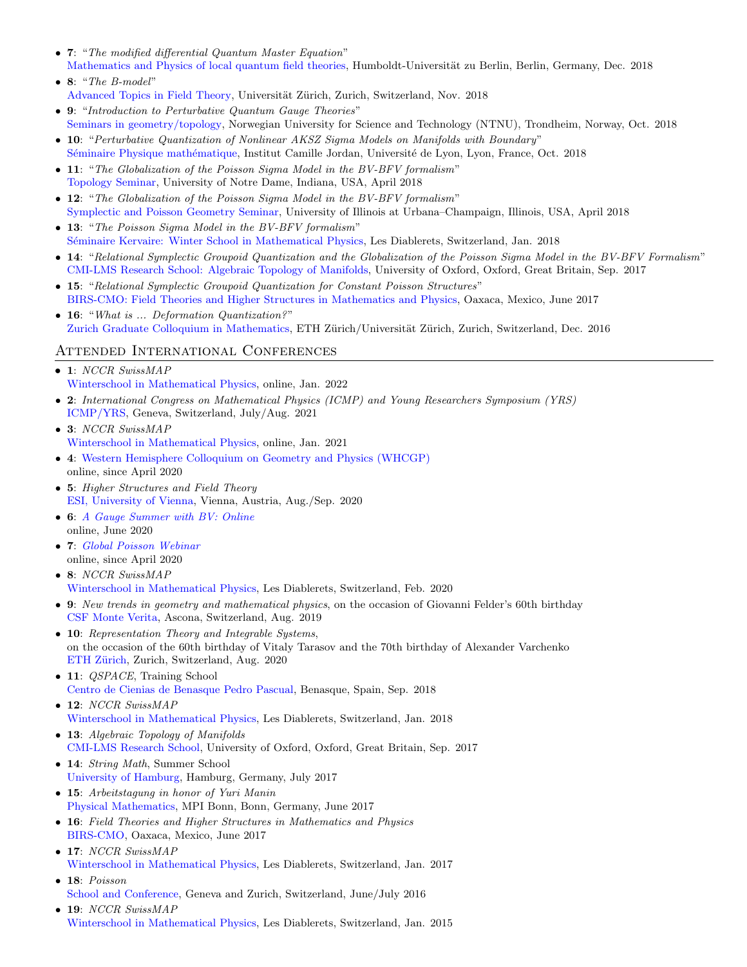- 7: "The modified differential Quantum Master Equation" [Mathematics and Physics of local quantum field theories,](https://www2.mathematik.hu-berlin.de/~kreimer/seminars/) Humboldt-Universität zu Berlin, Berlin, Germany, Dec. 2018
- 8: "The B-model" [Advanced Topics in Field Theory,](https://www.math.uzh.ch/index.php?id=ve_PS_det&key1=0&key2=1297&semId=40) Universität Zürich, Zurich, Switzerland, Nov. 2018
- 9: "Introduction to Perturbative Quantum Gauge Theories" [Seminars in geometry/topology,](https://wiki.math.ntnu.no/seminar/top) Norwegian University for Science and Technology (NTNU), Trondheim, Norway, Oct. 2018
- 10: "Perturbative Quantization of Nonlinear AKSZ Sigma Models on Manifolds with Boundary" Séminaire Physique mathématique, Institut Camille Jordan, Université de Lyon, Lyon, France, Oct. 2018
- 11: "The Globalization of the Poisson Sigma Model in the BV-BFV formalism" [Topology Seminar,](https://math.nd.edu/events/2018/04/24/topology-seminar-nima-moshayedi-university-of-zurich/) University of Notre Dame, Indiana, USA, April 2018
- 12: "The Globalization of the Poisson Sigma Model in the BV-BFV formalism" [Symplectic and Poisson Geometry Seminar,](https://calendar.math.illinois.edu/) University of Illinois at Urbana–Champaign, Illinois, USA, April 2018
- 13: "The Poisson Sigma Model in the BV-BFV formalism" [S´eminaire Kervaire: Winter School in Mathematical Physics,](http://www.unige.ch/math/folks/podkopaeva/diablerets2018/student.html) Les Diablerets, Switzerland, Jan. 2018
- 14: "Relational Symplectic Groupoid Quantization and the Globalization of the Poisson Sigma Model in the BV-BFV Formalism" [CMI-LMS Research School: Algebraic Topology of Manifolds,](https://people.maths.ox.ac.uk/tillmann/ATM-SCHOOL.html) University of Oxford, Oxford, Great Britain, Sep. 2017
- 15: "Relational Symplectic Groupoid Quantization for Constant Poisson Structures" [BIRS-CMO: Field Theories and Higher Structures in Mathematics and Physics,](http://www.birs.ca/events/2017/5-day-workshops/17w5167/schedule) Oaxaca, Mexico, June 2017
- 16: "What is ... Deformation Quantization?" [Zurich Graduate Colloquium in Mathematics,](https://www.math.uzh.ch/index.php?id=ve_mfs_sem_vor0&key1=0&key2=969&key3=3576) ETH Zürich/Universität Zürich, Zurich, Switzerland, Dec. 2016

# Attended International Conferences

- 1: NCCR SwissMAP [Winterschool in Mathematical Physics,](https://indico.cern.ch/event/1084303/) online, Jan. 2022
- 2: International Congress on Mathematical Physics (ICMP) and Young Researchers Symposium (YRS) [ICMP/YRS,](https://www.icmp2021.com/) Geneva, Switzerland, July/Aug. 2021
- 3: NCCR SwissMAP [Winterschool in Mathematical Physics,](https://indico.cern.ch/event/929789/overview) online, Jan. 2021
- 4: [Western Hemisphere Colloquium on Geometry and Physics \(WHCGP\)](http://web.math.ucsb.edu/~drm/WHCGP/) online, since April 2020
- 5: Higher Structures and Field Theory [ESI, University of Vienna,](https://www.esi.ac.at/events/e299/) Vienna, Austria, Aug./Sep. 2020
- 6: [A Gauge Summer with BV: Online](https://sites.google.com/view/gaugesummerwithbv/home) online, June 2020
- 7: [Global Poisson Webinar](http://www.unige.ch/math/folks/nikolaev/GlobalPoisson.html) online, since April 2020
- 8: NCCR SwissMAP [Winterschool in Mathematical Physics,](http://www.unige.ch/math/folks/podkopaeva/diablerets2020/index.html) Les Diablerets, Switzerland, Feb. 2020
- 9: New trends in geometry and mathematical physics, on the occasion of Giovanni Felder's 60th birthday [CSF Monte Verita,](https://people.math.ethz.ch/~wilthoma/ntgmp/) Ascona, Switzerland, Aug. 2019
- 10: Representation Theory and Integrable Systems, on the occasion of the 60th birthday of Vitaly Tarasov and the 70th birthday of Alexander Varchenko ETH Zürich, Zurich, Switzerland, Aug. 2020
- 11: *OSPACE*, Training School [Centro de Cienias de Benasque Pedro Pascual,](http://benasque.org/2018qspace/) Benasque, Spain, Sep. 2018
- 12: NCCR SwissMAP [Winterschool in Mathematical Physics,](http://www.unige.ch/math/folks/podkopaeva/diablerets2018/index.html) Les Diablerets, Switzerland, Jan. 2018
- 13: Algebraic Topology of Manifolds [CMI-LMS Research School,](https://people.maths.ox.ac.uk/tillmann/ATM-SCHOOL.html) University of Oxford, Oxford, Great Britain, Sep. 2017
- 14: String Math, Summer School [University of Hamburg,](https://stringmath2017.desy.de/) Hamburg, Germany, July 2017
- 15: Arbeitstagung in honor of Yuri Manin [Physical Mathematics,](https://www.mpim-bonn.mpg.de/de/node/6826) MPI Bonn, Bonn, Germany, June 2017
- 16: Field Theories and Higher Structures in Mathematics and Physics [BIRS-CMO,](http://www.birs.ca/events/2017/5-day-workshops/17w5167/schedule) Oaxaca, Mexico, June 2017
- 17: NCCR SwissMAP [Winterschool in Mathematical Physics,](http://www.unige.ch/math/folks/podkopaeva/diablerets2017/index.html) Les Diablerets, Switzerland, Jan. 2017
- 18: Poisson [School and Conference,](http://www.unige.ch/math/Poisson2016/) Geneva and Zurich, Switzerland, June/July 2016 • 19: NCCR SwissMAP
- [Winterschool in Mathematical Physics,](http://www.unige.ch/math/folks/podkopaeva/diablerets2015/index.html) Les Diablerets, Switzerland, Jan. 2015